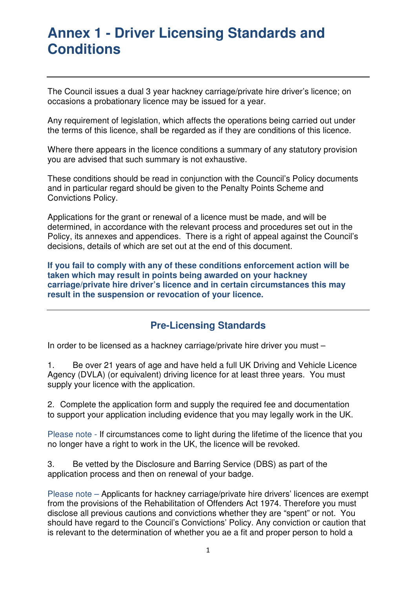The Council issues a dual 3 year hackney carriage/private hire driver's licence; on occasions a probationary licence may be issued for a year.

Any requirement of legislation, which affects the operations being carried out under the terms of this licence, shall be regarded as if they are conditions of this licence.

Where there appears in the licence conditions a summary of any statutory provision you are advised that such summary is not exhaustive.

These conditions should be read in conjunction with the Council's Policy documents and in particular regard should be given to the Penalty Points Scheme and Convictions Policy.

Applications for the grant or renewal of a licence must be made, and will be determined, in accordance with the relevant process and procedures set out in the Policy, its annexes and appendices. There is a right of appeal against the Council's decisions, details of which are set out at the end of this document.

**If you fail to comply with any of these conditions enforcement action will be taken which may result in points being awarded on your hackney carriage/private hire driver's licence and in certain circumstances this may result in the suspension or revocation of your licence.** 

### **Pre-Licensing Standards**

In order to be licensed as a hackney carriage/private hire driver you must –

1. Be over 21 years of age and have held a full UK Driving and Vehicle Licence Agency (DVLA) (or equivalent) driving licence for at least three years. You must supply your licence with the application.

2. Complete the application form and supply the required fee and documentation to support your application including evidence that you may legally work in the UK.

Please note - If circumstances come to light during the lifetime of the licence that you no longer have a right to work in the UK, the licence will be revoked.

3. Be vetted by the Disclosure and Barring Service (DBS) as part of the application process and then on renewal of your badge.

Please note – Applicants for hackney carriage/private hire drivers' licences are exempt from the provisions of the Rehabilitation of Offenders Act 1974. Therefore you must disclose all previous cautions and convictions whether they are "spent" or not. You should have regard to the Council's Convictions' Policy. Any conviction or caution that is relevant to the determination of whether you ae a fit and proper person to hold a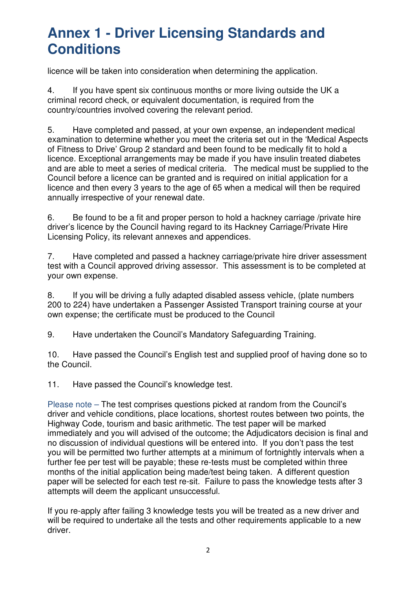licence will be taken into consideration when determining the application.

4. If you have spent six continuous months or more living outside the UK a criminal record check, or equivalent documentation, is required from the country/countries involved covering the relevant period.

5. Have completed and passed, at your own expense, an independent medical examination to determine whether you meet the criteria set out in the 'Medical Aspects of Fitness to Drive' Group 2 standard and been found to be medically fit to hold a licence. Exceptional arrangements may be made if you have insulin treated diabetes and are able to meet a series of medical criteria. The medical must be supplied to the Council before a licence can be granted and is required on initial application for a licence and then every 3 years to the age of 65 when a medical will then be required annually irrespective of your renewal date.

6. Be found to be a fit and proper person to hold a hackney carriage /private hire driver's licence by the Council having regard to its Hackney Carriage/Private Hire Licensing Policy, its relevant annexes and appendices.

7. Have completed and passed a hackney carriage/private hire driver assessment test with a Council approved driving assessor. This assessment is to be completed at your own expense.

8. If you will be driving a fully adapted disabled assess vehicle, (plate numbers 200 to 224) have undertaken a Passenger Assisted Transport training course at your own expense; the certificate must be produced to the Council

9. Have undertaken the Council's Mandatory Safeguarding Training.

10. Have passed the Council's English test and supplied proof of having done so to the Council.

11. Have passed the Council's knowledge test.

Please note – The test comprises questions picked at random from the Council's driver and vehicle conditions, place locations, shortest routes between two points, the Highway Code, tourism and basic arithmetic. The test paper will be marked immediately and you will advised of the outcome; the Adjudicators decision is final and no discussion of individual questions will be entered into. If you don't pass the test you will be permitted two further attempts at a minimum of fortnightly intervals when a further fee per test will be payable; these re-tests must be completed within three months of the initial application being made/test being taken. A different question paper will be selected for each test re-sit. Failure to pass the knowledge tests after 3 attempts will deem the applicant unsuccessful.

If you re-apply after failing 3 knowledge tests you will be treated as a new driver and will be required to undertake all the tests and other requirements applicable to a new driver.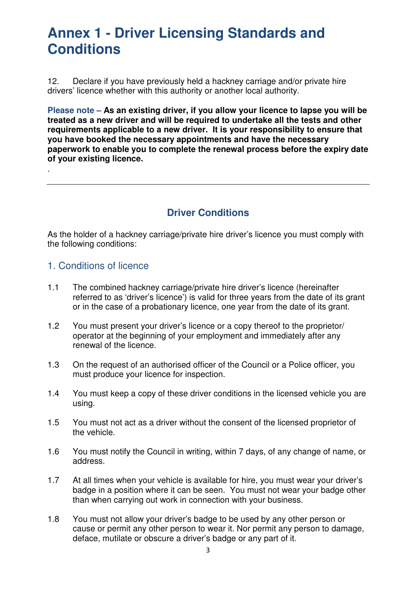12. Declare if you have previously held a hackney carriage and/or private hire drivers' licence whether with this authority or another local authority.

**Please note – As an existing driver, if you allow your licence to lapse you will be treated as a new driver and will be required to undertake all the tests and other requirements applicable to a new driver. It is your responsibility to ensure that you have booked the necessary appointments and have the necessary paperwork to enable you to complete the renewal process before the expiry date of your existing licence.**

### **Driver Conditions**

As the holder of a hackney carriage/private hire driver's licence you must comply with the following conditions:

#### 1. Conditions of licence

.

- 1.1 The combined hackney carriage/private hire driver's licence (hereinafter referred to as 'driver's licence') is valid for three years from the date of its grant or in the case of a probationary licence, one year from the date of its grant.
- 1.2 You must present your driver's licence or a copy thereof to the proprietor/ operator at the beginning of your employment and immediately after any renewal of the licence.
- 1.3 On the request of an authorised officer of the Council or a Police officer, you must produce your licence for inspection.
- 1.4 You must keep a copy of these driver conditions in the licensed vehicle you are using.
- 1.5 You must not act as a driver without the consent of the licensed proprietor of the vehicle.
- 1.6 You must notify the Council in writing, within 7 days, of any change of name, or address.
- 1.7 At all times when your vehicle is available for hire, you must wear your driver's badge in a position where it can be seen. You must not wear your badge other than when carrying out work in connection with your business.
- 1.8 You must not allow your driver's badge to be used by any other person or cause or permit any other person to wear it. Nor permit any person to damage, deface, mutilate or obscure a driver's badge or any part of it.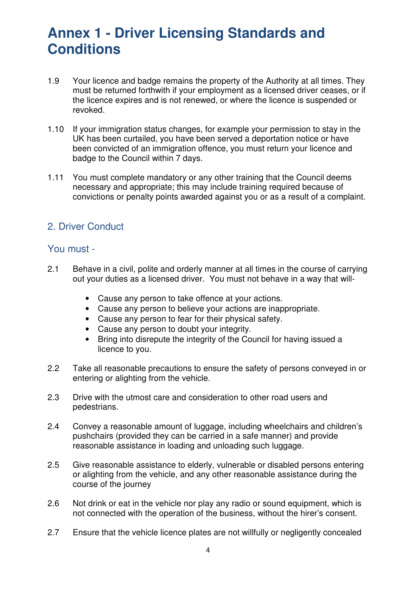- 1.9 Your licence and badge remains the property of the Authority at all times. They must be returned forthwith if your employment as a licensed driver ceases, or if the licence expires and is not renewed, or where the licence is suspended or revoked.
- 1.10 If your immigration status changes, for example your permission to stay in the UK has been curtailed, you have been served a deportation notice or have been convicted of an immigration offence, you must return your licence and badge to the Council within 7 days.
- 1.11 You must complete mandatory or any other training that the Council deems necessary and appropriate; this may include training required because of convictions or penalty points awarded against you or as a result of a complaint.

### 2. Driver Conduct

#### You must -

- 2.1 Behave in a civil, polite and orderly manner at all times in the course of carrying out your duties as a licensed driver. You must not behave in a way that will-
	- Cause any person to take offence at your actions.
	- Cause any person to believe your actions are inappropriate.
	- Cause any person to fear for their physical safety.
	- Cause any person to doubt your integrity.
	- Bring into disrepute the integrity of the Council for having issued a licence to you.
- 2.2 Take all reasonable precautions to ensure the safety of persons conveyed in or entering or alighting from the vehicle.
- 2.3 Drive with the utmost care and consideration to other road users and pedestrians.
- 2.4 Convey a reasonable amount of luggage, including wheelchairs and children's pushchairs (provided they can be carried in a safe manner) and provide reasonable assistance in loading and unloading such luggage.
- 2.5 Give reasonable assistance to elderly, vulnerable or disabled persons entering or alighting from the vehicle, and any other reasonable assistance during the course of the journey
- 2.6 Not drink or eat in the vehicle nor play any radio or sound equipment, which is not connected with the operation of the business, without the hirer's consent.
- 2.7 Ensure that the vehicle licence plates are not willfully or negligently concealed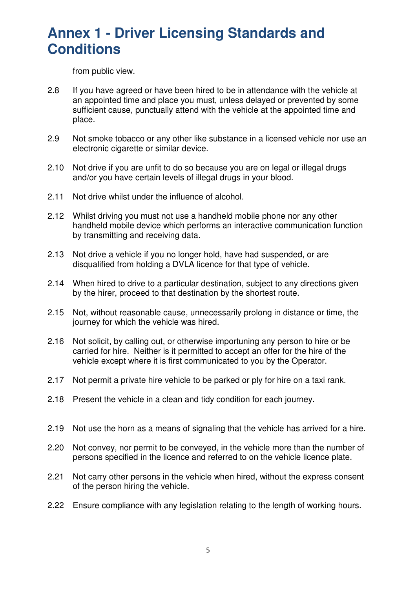from public view.

- 2.8 If you have agreed or have been hired to be in attendance with the vehicle at an appointed time and place you must, unless delayed or prevented by some sufficient cause, punctually attend with the vehicle at the appointed time and place.
- 2.9 Not smoke tobacco or any other like substance in a licensed vehicle nor use an electronic cigarette or similar device.
- 2.10 Not drive if you are unfit to do so because you are on legal or illegal drugs and/or you have certain levels of illegal drugs in your blood.
- 2.11 Not drive whilst under the influence of alcohol.
- 2.12 Whilst driving you must not use a handheld mobile phone nor any other handheld mobile device which performs an interactive communication function by transmitting and receiving data.
- 2.13 Not drive a vehicle if you no longer hold, have had suspended, or are disqualified from holding a DVLA licence for that type of vehicle.
- 2.14 When hired to drive to a particular destination, subject to any directions given by the hirer, proceed to that destination by the shortest route.
- 2.15 Not, without reasonable cause, unnecessarily prolong in distance or time, the journey for which the vehicle was hired.
- 2.16 Not solicit, by calling out, or otherwise importuning any person to hire or be carried for hire. Neither is it permitted to accept an offer for the hire of the vehicle except where it is first communicated to you by the Operator.
- 2.17 Not permit a private hire vehicle to be parked or ply for hire on a taxi rank.
- 2.18 Present the vehicle in a clean and tidy condition for each journey.
- 2.19 Not use the horn as a means of signaling that the vehicle has arrived for a hire.
- 2.20 Not convey, nor permit to be conveyed, in the vehicle more than the number of persons specified in the licence and referred to on the vehicle licence plate.
- 2.21 Not carry other persons in the vehicle when hired, without the express consent of the person hiring the vehicle.
- 2.22 Ensure compliance with any legislation relating to the length of working hours.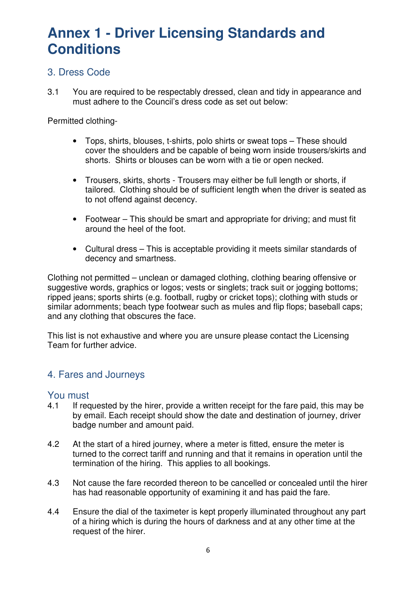#### 3. Dress Code

3.1 You are required to be respectably dressed, clean and tidy in appearance and must adhere to the Council's dress code as set out below:

Permitted clothing-

- Tops, shirts, blouses, t-shirts, polo shirts or sweat tops These should cover the shoulders and be capable of being worn inside trousers/skirts and shorts. Shirts or blouses can be worn with a tie or open necked.
- Trousers, skirts, shorts Trousers may either be full length or shorts, if tailored. Clothing should be of sufficient length when the driver is seated as to not offend against decency.
- Footwear This should be smart and appropriate for driving; and must fit around the heel of the foot.
- Cultural dress This is acceptable providing it meets similar standards of decency and smartness.

Clothing not permitted – unclean or damaged clothing, clothing bearing offensive or suggestive words, graphics or logos; vests or singlets; track suit or jogging bottoms; ripped jeans; sports shirts (e.g. football, rugby or cricket tops); clothing with studs or similar adornments; beach type footwear such as mules and flip flops; baseball caps; and any clothing that obscures the face.

This list is not exhaustive and where you are unsure please contact the Licensing Team for further advice.

#### 4. Fares and Journeys

#### You must

- 4.1 If requested by the hirer, provide a written receipt for the fare paid, this may be by email. Each receipt should show the date and destination of journey, driver badge number and amount paid.
- 4.2 At the start of a hired journey, where a meter is fitted, ensure the meter is turned to the correct tariff and running and that it remains in operation until the termination of the hiring. This applies to all bookings.
- 4.3 Not cause the fare recorded thereon to be cancelled or concealed until the hirer has had reasonable opportunity of examining it and has paid the fare.
- 4.4 Ensure the dial of the taximeter is kept properly illuminated throughout any part of a hiring which is during the hours of darkness and at any other time at the request of the hirer.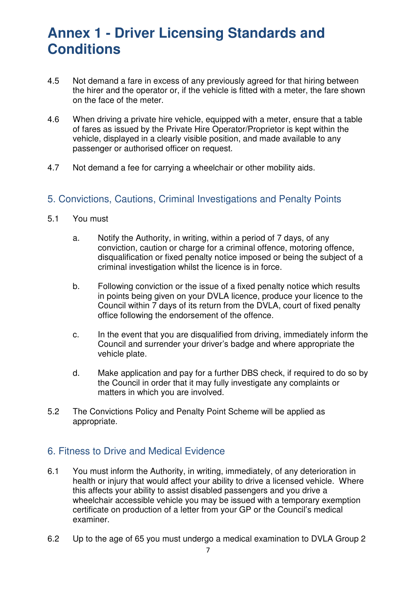- 4.5 Not demand a fare in excess of any previously agreed for that hiring between the hirer and the operator or, if the vehicle is fitted with a meter, the fare shown on the face of the meter.
- 4.6 When driving a private hire vehicle, equipped with a meter, ensure that a table of fares as issued by the Private Hire Operator/Proprietor is kept within the vehicle, displayed in a clearly visible position, and made available to any passenger or authorised officer on request.
- 4.7 Not demand a fee for carrying a wheelchair or other mobility aids.

### 5. Convictions, Cautions, Criminal Investigations and Penalty Points

- 5.1 You must
	- a. Notify the Authority, in writing, within a period of 7 days, of any conviction, caution or charge for a criminal offence, motoring offence, disqualification or fixed penalty notice imposed or being the subject of a criminal investigation whilst the licence is in force.
	- b. Following conviction or the issue of a fixed penalty notice which results in points being given on your DVLA licence, produce your licence to the Council within 7 days of its return from the DVLA, court of fixed penalty office following the endorsement of the offence.
	- c. In the event that you are disqualified from driving, immediately inform the Council and surrender your driver's badge and where appropriate the vehicle plate.
	- d. Make application and pay for a further DBS check, if required to do so by the Council in order that it may fully investigate any complaints or matters in which you are involved.
- 5.2 The Convictions Policy and Penalty Point Scheme will be applied as appropriate.

#### 6. Fitness to Drive and Medical Evidence

- 6.1 You must inform the Authority, in writing, immediately, of any deterioration in health or injury that would affect your ability to drive a licensed vehicle. Where this affects your ability to assist disabled passengers and you drive a wheelchair accessible vehicle you may be issued with a temporary exemption certificate on production of a letter from your GP or the Council's medical examiner.
- 6.2 Up to the age of 65 you must undergo a medical examination to DVLA Group 2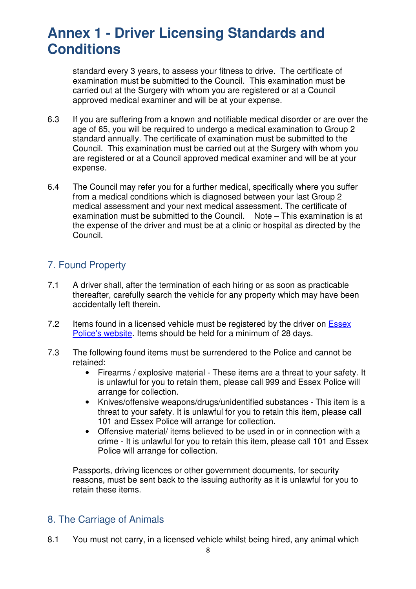standard every 3 years, to assess your fitness to drive. The certificate of examination must be submitted to the Council. This examination must be carried out at the Surgery with whom you are registered or at a Council approved medical examiner and will be at your expense.

- 6.3 If you are suffering from a known and notifiable medical disorder or are over the age of 65, you will be required to undergo a medical examination to Group 2 standard annually. The certificate of examination must be submitted to the Council. This examination must be carried out at the Surgery with whom you are registered or at a Council approved medical examiner and will be at your expense.
- 6.4 The Council may refer you for a further medical, specifically where you suffer from a medical conditions which is diagnosed between your last Group 2 medical assessment and your next medical assessment. The certificate of examination must be submitted to the Council. Note – This examination is at the expense of the driver and must be at a clinic or hospital as directed by the Council.

### 7. Found Property

- 7.1 A driver shall, after the termination of each hiring or as soon as practicable thereafter, carefully search the vehicle for any property which may have been accidentally left therein.
- 7.2 Items found in a licensed vehicle must be registered by the driver on Essex Police's website. Items should be held for a minimum of 28 days.
- 7.3 The following found items must be surrendered to the Police and cannot be retained:
	- Firearms / explosive material These items are a threat to your safety. It is unlawful for you to retain them, please call 999 and Essex Police will arrange for collection.
	- Knives/offensive weapons/drugs/unidentified substances This item is a threat to your safety. It is unlawful for you to retain this item, please call 101 and Essex Police will arrange for collection.
	- Offensive material/ items believed to be used in or in connection with a crime - It is unlawful for you to retain this item, please call 101 and Essex Police will arrange for collection.

Passports, driving licences or other government documents, for security reasons, must be sent back to the issuing authority as it is unlawful for you to retain these items.

### 8. The Carriage of Animals

8.1 You must not carry, in a licensed vehicle whilst being hired, any animal which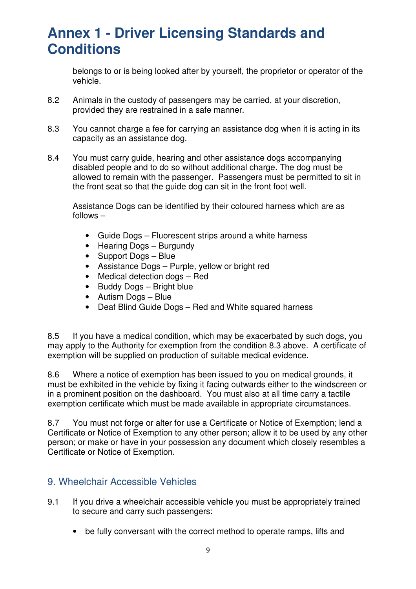belongs to or is being looked after by yourself, the proprietor or operator of the vehicle.

- 8.2 Animals in the custody of passengers may be carried, at your discretion, provided they are restrained in a safe manner.
- 8.3 You cannot charge a fee for carrying an assistance dog when it is acting in its capacity as an assistance dog.
- 8.4 You must carry guide, hearing and other assistance dogs accompanying disabled people and to do so without additional charge. The dog must be allowed to remain with the passenger. Passengers must be permitted to sit in the front seat so that the guide dog can sit in the front foot well.

Assistance Dogs can be identified by their coloured harness which are as follows –

- Guide Dogs Fluorescent strips around a white harness
- Hearing Dogs Burgundy
- Support Dogs Blue
- Assistance Dogs Purple, yellow or bright red
- Medical detection dogs Red
- Buddy Dogs Bright blue
- Autism Dogs Blue
- Deaf Blind Guide Dogs Red and White squared harness

8.5 If you have a medical condition, which may be exacerbated by such dogs, you may apply to the Authority for exemption from the condition 8.3 above. A certificate of exemption will be supplied on production of suitable medical evidence.

8.6 Where a notice of exemption has been issued to you on medical grounds, it must be exhibited in the vehicle by fixing it facing outwards either to the windscreen or in a prominent position on the dashboard. You must also at all time carry a tactile exemption certificate which must be made available in appropriate circumstances.

8.7 You must not forge or alter for use a Certificate or Notice of Exemption; lend a Certificate or Notice of Exemption to any other person; allow it to be used by any other person; or make or have in your possession any document which closely resembles a Certificate or Notice of Exemption.

#### 9. Wheelchair Accessible Vehicles

- 9.1 If you drive a wheelchair accessible vehicle you must be appropriately trained to secure and carry such passengers:
	- be fully conversant with the correct method to operate ramps, lifts and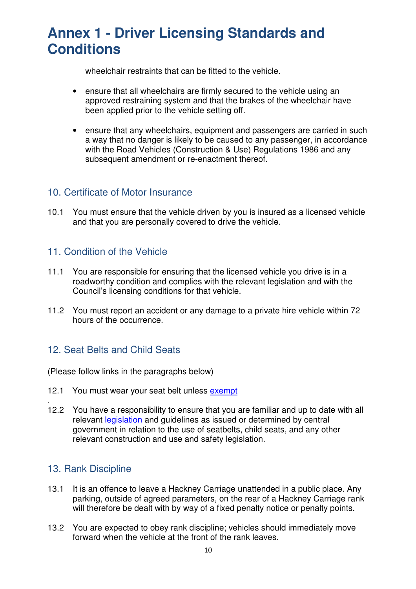wheelchair restraints that can be fitted to the vehicle.

- ensure that all wheelchairs are firmly secured to the vehicle using an approved restraining system and that the brakes of the wheelchair have been applied prior to the vehicle setting off.
- ensure that any wheelchairs, equipment and passengers are carried in such a way that no danger is likely to be caused to any passenger, in accordance with the Road Vehicles (Construction & Use) Regulations 1986 and any subsequent amendment or re-enactment thereof.

#### 10. Certificate of Motor Insurance

10.1 You must ensure that the vehicle driven by you is insured as a licensed vehicle and that you are personally covered to drive the vehicle.

#### 11. Condition of the Vehicle

- 11.1 You are responsible for ensuring that the licensed vehicle you drive is in a roadworthy condition and complies with the relevant legislation and with the Council's licensing conditions for that vehicle.
- 11.2 You must report an accident or any damage to a private hire vehicle within 72 hours of the occurrence.

### 12. Seat Belts and Child Seats

(Please follow links in the paragraphs below)

- 12.1 You must wear your seat belt unless exempt
- 12.2 You have a responsibility to ensure that you are familiar and up to date with all relevant legislation and guidelines as issued or determined by central government in relation to the use of seatbelts, child seats, and any other relevant construction and use and safety legislation.

#### 13. Rank Discipline

.

- 13.1 It is an offence to leave a Hackney Carriage unattended in a public place. Any parking, outside of agreed parameters, on the rear of a Hackney Carriage rank will therefore be dealt with by way of a fixed penalty notice or penalty points.
- 13.2 You are expected to obey rank discipline; vehicles should immediately move forward when the vehicle at the front of the rank leaves.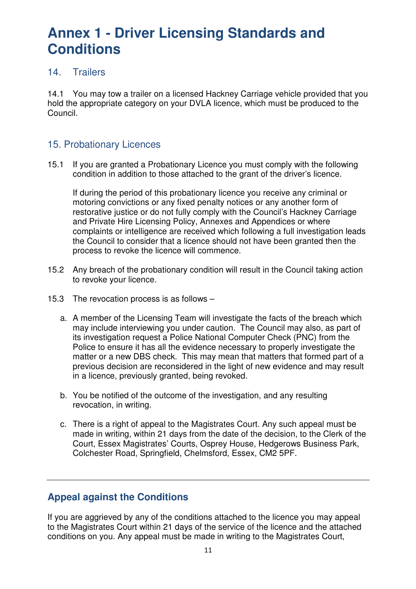#### 14. Trailers

14.1 You may tow a trailer on a licensed Hackney Carriage vehicle provided that you hold the appropriate category on your DVLA licence, which must be produced to the Council.

### 15. Probationary Licences

15.1 If you are granted a Probationary Licence you must comply with the following condition in addition to those attached to the grant of the driver's licence.

If during the period of this probationary licence you receive any criminal or motoring convictions or any fixed penalty notices or any another form of restorative justice or do not fully comply with the Council's Hackney Carriage and Private Hire Licensing Policy, Annexes and Appendices or where complaints or intelligence are received which following a full investigation leads the Council to consider that a licence should not have been granted then the process to revoke the licence will commence.

- 15.2 Any breach of the probationary condition will result in the Council taking action to revoke your licence.
- 15.3 The revocation process is as follows
	- a. A member of the Licensing Team will investigate the facts of the breach which may include interviewing you under caution. The Council may also, as part of its investigation request a Police National Computer Check (PNC) from the Police to ensure it has all the evidence necessary to properly investigate the matter or a new DBS check. This may mean that matters that formed part of a previous decision are reconsidered in the light of new evidence and may result in a licence, previously granted, being revoked.
	- b. You be notified of the outcome of the investigation, and any resulting revocation, in writing.
	- c. There is a right of appeal to the Magistrates Court. Any such appeal must be made in writing, within 21 days from the date of the decision, to the Clerk of the Court, Essex Magistrates' Courts, Osprey House, Hedgerows Business Park, Colchester Road, Springfield, Chelmsford, Essex, CM2 5PF.

#### **Appeal against the Conditions**

If you are aggrieved by any of the conditions attached to the licence you may appeal to the Magistrates Court within 21 days of the service of the licence and the attached conditions on you. Any appeal must be made in writing to the Magistrates Court,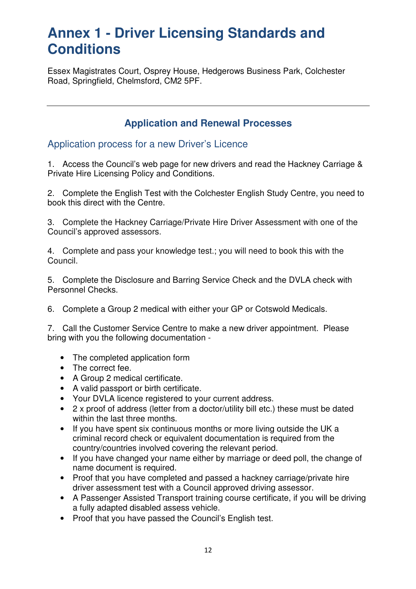Essex Magistrates Court, Osprey House, Hedgerows Business Park, Colchester Road, Springfield, Chelmsford, CM2 5PF.

### **Application and Renewal Processes**

Application process for a new Driver's Licence

1. Access the Council's web page for new drivers and read the Hackney Carriage & Private Hire Licensing Policy and Conditions.

2. Complete the English Test with the Colchester English Study Centre, you need to book this direct with the Centre.

3. Complete the Hackney Carriage/Private Hire Driver Assessment with one of the Council's approved assessors.

4. Complete and pass your knowledge test.; you will need to book this with the Council.

5. Complete the Disclosure and Barring Service Check and the DVLA check with Personnel Checks.

6. Complete a Group 2 medical with either your GP or Cotswold Medicals.

7. Call the Customer Service Centre to make a new driver appointment. Please bring with you the following documentation -

- The completed application form
- The correct fee.
- A Group 2 medical certificate.
- A valid passport or birth certificate.
- Your DVLA licence registered to your current address.
- 2 x proof of address (letter from a doctor/utility bill etc.) these must be dated within the last three months.
- If you have spent six continuous months or more living outside the UK a criminal record check or equivalent documentation is required from the country/countries involved covering the relevant period.
- If you have changed your name either by marriage or deed poll, the change of name document is required.
- Proof that you have completed and passed a hackney carriage/private hire driver assessment test with a Council approved driving assessor.
- A Passenger Assisted Transport training course certificate, if you will be driving a fully adapted disabled assess vehicle.
- Proof that you have passed the Council's English test.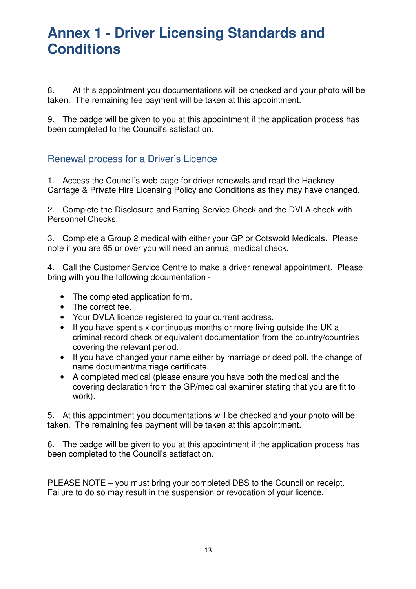8. At this appointment you documentations will be checked and your photo will be taken. The remaining fee payment will be taken at this appointment.

9. The badge will be given to you at this appointment if the application process has been completed to the Council's satisfaction.

### Renewal process for a Driver's Licence

1. Access the Council's web page for driver renewals and read the Hackney Carriage & Private Hire Licensing Policy and Conditions as they may have changed.

2. Complete the Disclosure and Barring Service Check and the DVLA check with Personnel Checks.

3. Complete a Group 2 medical with either your GP or Cotswold Medicals. Please note if you are 65 or over you will need an annual medical check.

4. Call the Customer Service Centre to make a driver renewal appointment. Please bring with you the following documentation -

- The completed application form.
- The correct fee.
- Your DVLA licence registered to your current address.
- If you have spent six continuous months or more living outside the UK a criminal record check or equivalent documentation from the country/countries covering the relevant period.
- If you have changed your name either by marriage or deed poll, the change of name document/marriage certificate.
- A completed medical (please ensure you have both the medical and the covering declaration from the GP/medical examiner stating that you are fit to work).

5. At this appointment you documentations will be checked and your photo will be taken. The remaining fee payment will be taken at this appointment.

6. The badge will be given to you at this appointment if the application process has been completed to the Council's satisfaction.

PLEASE NOTE – you must bring your completed DBS to the Council on receipt. Failure to do so may result in the suspension or revocation of your licence.